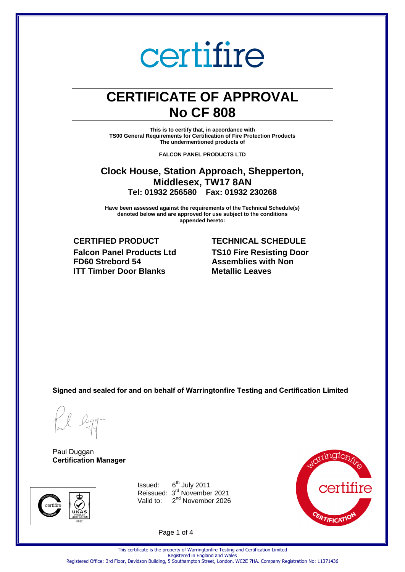### **CERTIFICATE OF APPROVAL No CF 808**

**This is to certify that, in accordance with TS00 General Requirements for Certification of Fire Protection Products The undermentioned products of** 

**FALCON PANEL PRODUCTS LTD** 

#### **Clock House, Station Approach, Shepperton, Middlesex, TW17 8AN Tel: 01932 256580 Fax: 01932 230268**

**Have been assessed against the requirements of the Technical Schedule(s) denoted below and are approved for use subject to the conditions appended hereto:** 

**\_\_\_\_\_\_\_\_\_\_\_\_\_\_\_\_\_\_\_\_\_\_\_\_\_\_\_\_\_\_\_\_\_\_\_\_\_\_\_\_\_\_\_\_\_\_\_\_\_\_\_\_\_\_\_\_\_\_\_\_\_\_\_\_\_\_\_\_\_\_\_\_\_\_\_\_\_\_\_\_\_\_\_\_\_\_\_\_\_\_\_\_\_\_\_\_\_\_\_\_\_**

**CERTIFIED PRODUCT TECHNICAL SCHEDULE Falcon Panel Products Ltd FD60 Strebord 54 ITT Timber Door Blanks**

### **TS10 Fire Resisting Door Assemblies with Non Metallic Leaves**

**Signed and sealed for and on behalf of Warringtonfire Testing and Certification Limited**

Paul Duggan **Certification Manager**



Issued: 6<sup>th</sup> July 2011 Reissued: 3<sup>rd</sup> November 2021 Valid to: 2<sup>nd</sup> November 2026



Page 1 of 4

Registered Office: 3rd Floor, Davidson Building, 5 Southampton Street, London, WC2E 7HA. Company Registration No: 11371436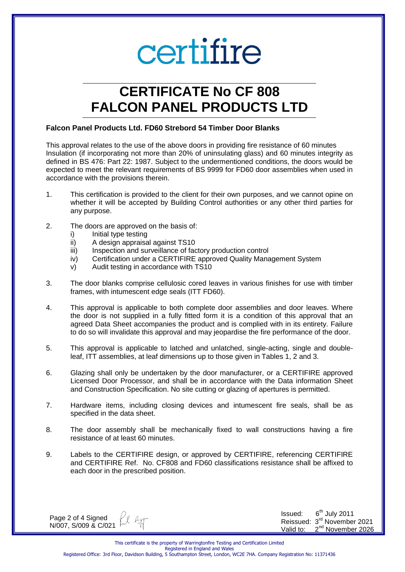## **CERTIFICATE No CF 808 FALCON PANEL PRODUCTS LTD**

#### **Falcon Panel Products Ltd. FD60 Strebord 54 Timber Door Blanks**

This approval relates to the use of the above doors in providing fire resistance of 60 minutes Insulation (if incorporating not more than 20% of uninsulating glass) and 60 minutes integrity as defined in BS 476: Part 22: 1987. Subject to the undermentioned conditions, the doors would be expected to meet the relevant requirements of BS 9999 for FD60 door assemblies when used in accordance with the provisions therein.

- 1. This certification is provided to the client for their own purposes, and we cannot opine on whether it will be accepted by Building Control authorities or any other third parties for any purpose.
- 2. The doors are approved on the basis of:
	- i) Initial type testing
	- ii) A design appraisal against TS10
	- iii) Inspection and surveillance of factory production control
	- iv) Certification under a CERTIFIRE approved Quality Management System
	- v) Audit testing in accordance with TS10
- 3. The door blanks comprise cellulosic cored leaves in various finishes for use with timber frames, with intumescent edge seals (ITT FD60).
- 4. This approval is applicable to both complete door assemblies and door leaves. Where the door is not supplied in a fully fitted form it is a condition of this approval that an agreed Data Sheet accompanies the product and is complied with in its entirety. Failure to do so will invalidate this approval and may jeopardise the fire performance of the door.
- 5. This approval is applicable to latched and unlatched, single-acting, single and doubleleaf, ITT assemblies, at leaf dimensions up to those given in Tables 1, 2 and 3.
- 6. Glazing shall only be undertaken by the door manufacturer, or a CERTIFIRE approved Licensed Door Processor, and shall be in accordance with the Data information Sheet and Construction Specification. No site cutting or glazing of apertures is permitted.
- 7. Hardware items, including closing devices and intumescent fire seals, shall be as specified in the data sheet.
- 8. The door assembly shall be mechanically fixed to wall constructions having a fire resistance of at least 60 minutes.
- 9. Labels to the CERTIFIRE design, or approved by CERTIFIRE, referencing CERTIFIRE and CERTIFIRE Ref. No. CF808 and FD60 classifications resistance shall be affixed to each door in the prescribed position.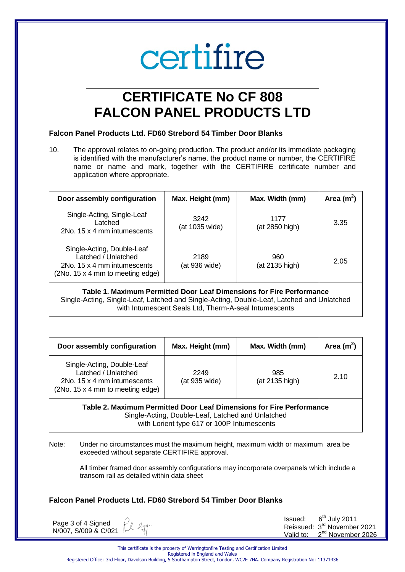### **CERTIFICATE No CF 808 FALCON PANEL PRODUCTS LTD**

#### **Falcon Panel Products Ltd. FD60 Strebord 54 Timber Door Blanks**

10. The approval relates to on-going production. The product and/or its immediate packaging is identified with the manufacturer's name, the product name or number, the CERTIFIRE name or name and mark, together with the CERTIFIRE certificate number and application where appropriate.

| Door assembly configuration                                                                                          | Max. Height (mm)<br>Max. Width (mm) |                        | Area $(m^2)$ |
|----------------------------------------------------------------------------------------------------------------------|-------------------------------------|------------------------|--------------|
| Single-Acting, Single-Leaf<br>Latched<br>2No. 15 x 4 mm intumescents                                                 | 3242<br>(at 1035 wide)              | 1177<br>(at 2850 high) | 3.35         |
| Single-Acting, Double-Leaf<br>Latched / Unlatched<br>2No. 15 x 4 mm intumescents<br>(2No. 15 x 4 mm to meeting edge) | 2189<br>(at 936 wide)               | 960<br>(at 2135 high)  | 2.05         |

**Table 1. Maximum Permitted Door Leaf Dimensions for Fire Performance** Single-Acting, Single-Leaf, Latched and Single-Acting, Double-Leaf, Latched and Unlatched with Intumescent Seals Ltd, Therm-A-seal Intumescents

| Door assembly configuration                                                                                          | Max. Height (mm)      | Max. Width (mm)       | Area $(m^2)$ |
|----------------------------------------------------------------------------------------------------------------------|-----------------------|-----------------------|--------------|
| Single-Acting, Double-Leaf<br>Latched / Unlatched<br>2No. 15 x 4 mm intumescents<br>(2No. 15 x 4 mm to meeting edge) | 2249<br>(at 935 wide) | 985<br>(at 2135 high) | 2.10         |
| Table 2. Maximum Permitted Door Leaf Dimensions for Fire Performance                                                 |                       |                       |              |

Single-Acting, Double-Leaf, Latched and Unlatched with Lorient type 617 or 100P Intumescents

Note: Under no circumstances must the maximum height, maximum width or maximum area be exceeded without separate CERTIFIRE approval.

> All timber framed door assembly configurations may incorporate overpanels which include a transom rail as detailed within data sheet

#### **Falcon Panel Products Ltd. FD60 Strebord 54 Timber Door Blanks**

Page 3 of 4 Signed N/007, S/009 & C/021

fol ly

| Issued:   | $6th$ July 2011               |
|-----------|-------------------------------|
|           | Reissued: 3rd November 2021   |
| Valid to: | 2 <sup>nd</sup> November 2026 |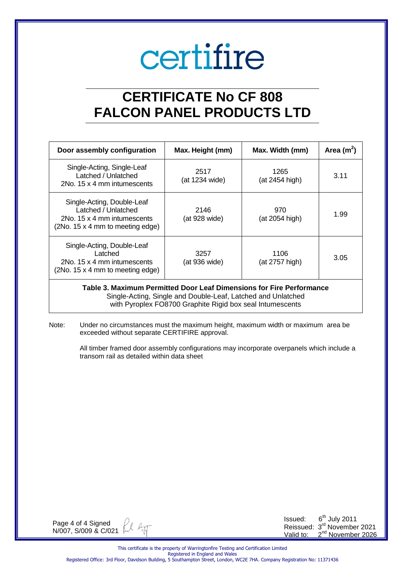### **CERTIFICATE No CF 808 FALCON PANEL PRODUCTS LTD**

| Door assembly configuration                                                                                          | Max. Height (mm)       |                        | Area $(m^2)$ |
|----------------------------------------------------------------------------------------------------------------------|------------------------|------------------------|--------------|
| Single-Acting, Single-Leaf<br>Latched / Unlatched<br>2No. 15 x 4 mm intumescents                                     | 2517<br>(at 1234 wide) | 1265<br>(at 2454 high) | 3.11         |
| Single-Acting, Double-Leaf<br>Latched / Unlatched<br>2No. 15 x 4 mm intumescents<br>(2No. 15 x 4 mm to meeting edge) | 2146<br>(at 928 wide)  | 970<br>(at 2054 high)  | 1.99         |
| Single-Acting, Double-Leaf<br>Latched<br>2No. 15 x 4 mm intumescents<br>(2No. 15 x 4 mm to meeting edge)             | 3257<br>(at 936 wide)  | 1106<br>(at 2757 high) | 3.05         |

#### **Table 3. Maximum Permitted Door Leaf Dimensions for Fire Performance** Single-Acting, Single and Double-Leaf, Latched and Unlatched

with Pyroplex FO8700 Graphite Rigid box seal Intumescents

Note: Under no circumstances must the maximum height, maximum width or maximum area be exceeded without separate CERTIFIRE approval.

> All timber framed door assembly configurations may incorporate overpanels which include a transom rail as detailed within data sheet

Page 4 of 4 Signed  $27$ N/007, S/009 & C/021

Issued: 6<sup>th</sup> July 2011 Reissued: 3<sup>rd</sup> November 2021 Valid to: 2<sup>nd</sup> November 2026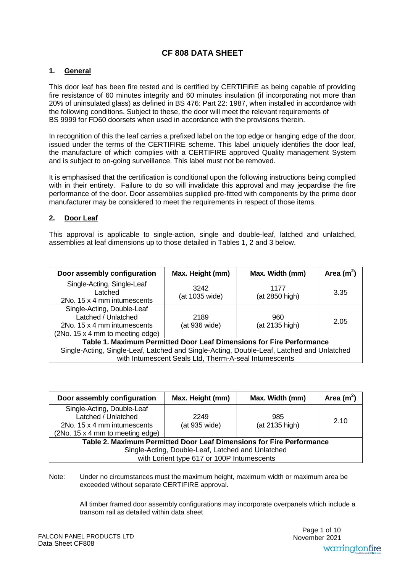#### **CF 808 DATA SHEET**

#### **1. General**

This door leaf has been fire tested and is certified by CERTIFIRE as being capable of providing fire resistance of 60 minutes integrity and 60 minutes insulation (if incorporating not more than 20% of uninsulated glass) as defined in BS 476: Part 22: 1987, when installed in accordance with the following conditions. Subject to these, the door will meet the relevant requirements of BS 9999 for FD60 doorsets when used in accordance with the provisions therein.

In recognition of this the leaf carries a prefixed label on the top edge or hanging edge of the door, issued under the terms of the CERTIFIRE scheme. This label uniquely identifies the door leaf, the manufacture of which complies with a CERTIFIRE approved Quality management System and is subject to on-going surveillance. This label must not be removed.

It is emphasised that the certification is conditional upon the following instructions being complied with in their entirety. Failure to do so will invalidate this approval and may jeopardise the fire performance of the door. Door assemblies supplied pre-fitted with components by the prime door manufacturer may be considered to meet the requirements in respect of those items.

#### **2. Door Leaf**

This approval is applicable to single-action, single and double-leaf, latched and unlatched, assemblies at leaf dimensions up to those detailed in Tables 1, 2 and 3 below.

| Door assembly configuration                                                                                          | Max. Height (mm)       | Max. Width (mm)        | Area $(m^2)$ |
|----------------------------------------------------------------------------------------------------------------------|------------------------|------------------------|--------------|
| Single-Acting, Single-Leaf<br>Latched<br>2No. 15 x 4 mm intumescents                                                 | 3242<br>(at 1035 wide) | 1177<br>(at 2850 high) | 3.35         |
| Single-Acting, Double-Leaf<br>Latched / Unlatched<br>2No. 15 x 4 mm intumescents<br>(2No. 15 x 4 mm to meeting edge) | 2189<br>(at 936 wide)  | 960<br>(at 2135 high)  | 2.05         |
| Table 1. Maximum Permitted Door Leaf Dimensions for Fire Performance                                                 |                        |                        |              |
| Single-Acting, Single-Leaf, Latched and Single-Acting, Double-Leaf, Latched and Unlatched                            |                        |                        |              |
| with Intumescent Seals Ltd, Therm-A-seal Intumescents                                                                |                        |                        |              |

| Door assembly configuration                                                                                                                   | Max. Height (mm) | Max. Width (mm)       | Area $(m^2)$ |
|-----------------------------------------------------------------------------------------------------------------------------------------------|------------------|-----------------------|--------------|
| Single-Acting, Double-Leaf<br>Latched / Unlatched<br>2249<br>(at 935 wide)<br>2No. 15 x 4 mm intumescents<br>(2No. 15 x 4 mm to meeting edge) |                  | 985<br>(at 2135 high) | 2.10         |
| Table 2. Maximum Permitted Door Leaf Dimensions for Fire Performance<br>Single-Acting, Double-Leaf, Latched and Unlatched                     |                  |                       |              |
| with Lorient type 617 or 100P Intumescents                                                                                                    |                  |                       |              |

Note: Under no circumstances must the maximum height, maximum width or maximum area be exceeded without separate CERTIFIRE approval.

> All timber framed door assembly configurations may incorporate overpanels which include a transom rail as detailed within data sheet

Page 1 of 10 November 2021 warringtonfire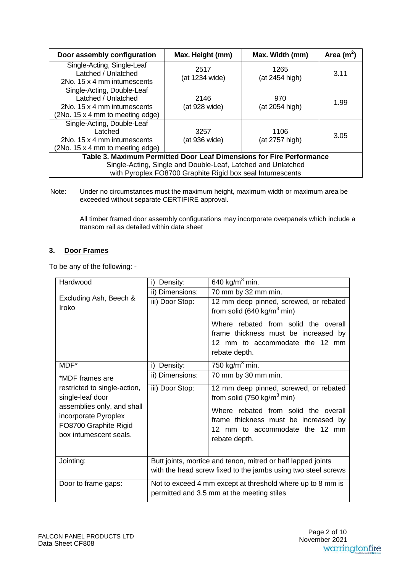| Door assembly configuration                                                                                                                                                                       | Max. Height (mm)       | Max. Width (mm)        | Area $(m^2)$ |
|---------------------------------------------------------------------------------------------------------------------------------------------------------------------------------------------------|------------------------|------------------------|--------------|
| Single-Acting, Single-Leaf<br>Latched / Unlatched<br>2No. 15 x 4 mm intumescents                                                                                                                  | 2517<br>(at 1234 wide) | 1265<br>(at 2454 high) | 3.11         |
| Single-Acting, Double-Leaf<br>Latched / Unlatched<br>2No. 15 x 4 mm intumescents<br>(2No. 15 x 4 mm to meeting edge)                                                                              | 2146<br>(at 928 wide)  | 970<br>(at 2054 high)  | 1.99         |
| Single-Acting, Double-Leaf<br>Latched<br>3257<br>1106<br>3.05<br>2No. 15 x 4 mm intumescents<br>(at 936 wide)<br>(at 2757 high)<br>(2No. 15 x 4 mm to meeting edge)                               |                        |                        |              |
| Table 3. Maximum Permitted Door Leaf Dimensions for Fire Performance<br>Single-Acting, Single and Double-Leaf, Latched and Unlatched<br>with Pyroplex FO8700 Graphite Rigid box seal Intumescents |                        |                        |              |

Note: Under no circumstances must the maximum height, maximum width or maximum area be exceeded without separate CERTIFIRE approval.

All timber framed door assembly configurations may incorporate overpanels which include a transom rail as detailed within data sheet

#### **3. Door Frames**

To be any of the following: -

| Hardwood                     | Density:<br>i)                                                | 640 $kg/m3$ min.                       |  |
|------------------------------|---------------------------------------------------------------|----------------------------------------|--|
|                              | ii) Dimensions:                                               | 70 mm by 32 mm min.                    |  |
| Excluding Ash, Beech &       | iii) Door Stop:                                               | 12 mm deep pinned, screwed, or rebated |  |
| Iroko                        |                                                               | from solid (640 kg/m <sup>3</sup> min) |  |
|                              |                                                               | Where rebated from solid the overall   |  |
|                              |                                                               | frame thickness must be increased by   |  |
|                              |                                                               | 12 mm to accommodate the 12 mm         |  |
|                              |                                                               | rebate depth.                          |  |
| MDF*                         | Density:<br>i)                                                | 750 kg/ $m3$ min.                      |  |
| *MDF frames are              | ii) Dimensions:                                               | 70 mm by 30 mm min.                    |  |
| restricted to single-action, | iii) Door Stop:                                               | 12 mm deep pinned, screwed, or rebated |  |
| single-leaf door             |                                                               | from solid (750 kg/m <sup>3</sup> min) |  |
| assemblies only, and shall   |                                                               | Where rebated from solid the overall   |  |
| incorporate Pyroplex         |                                                               | frame thickness must be increased by   |  |
| FO8700 Graphite Rigid        |                                                               | 12 mm to accommodate the 12 mm         |  |
| box intumescent seals.       |                                                               | rebate depth.                          |  |
|                              |                                                               |                                        |  |
| Jointing:                    | Butt joints, mortice and tenon, mitred or half lapped joints  |                                        |  |
|                              | with the head screw fixed to the jambs using two steel screws |                                        |  |
| Door to frame gaps:          | Not to exceed 4 mm except at threshold where up to 8 mm is    |                                        |  |
|                              | permitted and 3.5 mm at the meeting stiles                    |                                        |  |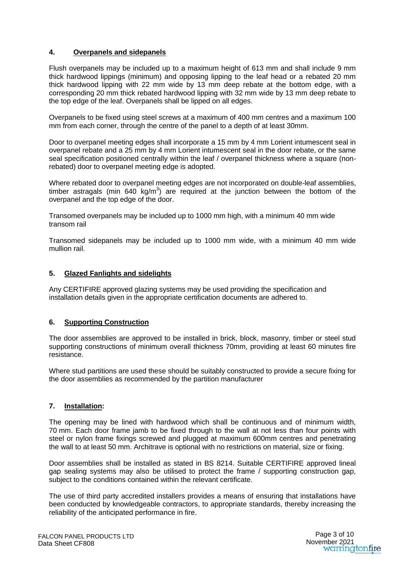#### **4. Overpanels and sidepanels**

Flush overpanels may be included up to a maximum height of 613 mm and shall include 9 mm thick hardwood lippings (minimum) and opposing lipping to the leaf head or a rebated 20 mm thick hardwood lipping with 22 mm wide by 13 mm deep rebate at the bottom edge, with a corresponding 20 mm thick rebated hardwood lipping with 32 mm wide by 13 mm deep rebate to the top edge of the leaf. Overpanels shall be lipped on all edges.

Overpanels to be fixed using steel screws at a maximum of 400 mm centres and a maximum 100 mm from each corner, through the centre of the panel to a depth of at least 30mm.

Door to overpanel meeting edges shall incorporate a 15 mm by 4 mm Lorient intumescent seal in overpanel rebate and a 25 mm by 4 mm Lorient intumescent seal in the door rebate, or the same seal specification positioned centrally within the leaf / overpanel thickness where a square (nonrebated) door to overpanel meeting edge is adopted.

Where rebated door to overpanel meeting edges are not incorporated on double-leaf assemblies, timber astragals (min 640 kg/m<sup>3</sup>) are required at the junction between the bottom of the overpanel and the top edge of the door.

Transomed overpanels may be included up to 1000 mm high, with a minimum 40 mm wide transom rail

Transomed sidepanels may be included up to 1000 mm wide, with a minimum 40 mm wide mullion rail.

#### **5. Glazed Fanlights and sidelights**

Any CERTIFIRE approved glazing systems may be used providing the specification and installation details given in the appropriate certification documents are adhered to.

#### **6. Supporting Construction**

The door assemblies are approved to be installed in brick, block, masonry, timber or steel stud supporting constructions of minimum overall thickness 70mm, providing at least 60 minutes fire resistance.

Where stud partitions are used these should be suitably constructed to provide a secure fixing for the door assemblies as recommended by the partition manufacturer

#### **7. Installation:**

The opening may be lined with hardwood which shall be continuous and of minimum width, 70 mm. Each door frame jamb to be fixed through to the wall at not less than four points with steel or nylon frame fixings screwed and plugged at maximum 600mm centres and penetrating the wall to at least 50 mm. Architrave is optional with no restrictions on material, size or fixing.

Door assemblies shall be installed as stated in BS 8214. Suitable CERTIFIRE approved lineal gap sealing systems may also be utilised to protect the frame / supporting construction gap, subject to the conditions contained within the relevant certificate.

The use of third party accredited installers provides a means of ensuring that installations have been conducted by knowledgeable contractors, to appropriate standards, thereby increasing the reliability of the anticipated performance in fire.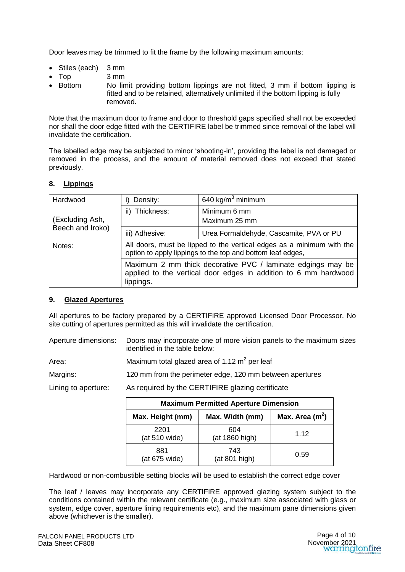Door leaves may be trimmed to fit the frame by the following maximum amounts:

- Stiles (each) 3 mm
- Top 3 mm
- Bottom No limit providing bottom lippings are not fitted, 3 mm if bottom lipping is fitted and to be retained, alternatively unlimited if the bottom lipping is fully removed.

Note that the maximum door to frame and door to threshold gaps specified shall not be exceeded nor shall the door edge fitted with the CERTIFIRE label be trimmed since removal of the label will invalidate the certification.

The labelled edge may be subjected to minor 'shooting-in', providing the label is not damaged or removed in the process, and the amount of material removed does not exceed that stated previously.

#### **8. Lippings**

| Hardwood         | Density:<br>i).                                                                                                                             | 640 kg/ $m3$ minimum                    |
|------------------|---------------------------------------------------------------------------------------------------------------------------------------------|-----------------------------------------|
|                  | Thickness:<br>ii).                                                                                                                          | Minimum 6 mm                            |
| (Excluding Ash,  |                                                                                                                                             | Maximum 25 mm                           |
| Beech and Iroko) | iii) Adhesive:                                                                                                                              | Urea Formaldehyde, Cascamite, PVA or PU |
| Notes:           | All doors, must be lipped to the vertical edges as a minimum with the<br>option to apply lippings to the top and bottom leaf edges,         |                                         |
|                  | Maximum 2 mm thick decorative PVC / laminate edgings may be<br>applied to the vertical door edges in addition to 6 mm hardwood<br>lippings. |                                         |

#### **9. Glazed Apertures**

All apertures to be factory prepared by a CERTIFIRE approved Licensed Door Processor. No site cutting of apertures permitted as this will invalidate the certification.

Aperture dimensions: Doors may incorporate one of more vision panels to the maximum sizes identified in the table below:

Area: Maximum total glazed area of 1.12  $\text{m}^2$  per leaf

Margins: 120 mm from the perimeter edge, 120 mm between apertures

Lining to aperture: As required by the CERTIFIRE glazing certificate

| <b>Maximum Permitted Aperture Dimension</b> |                       |                   |  |
|---------------------------------------------|-----------------------|-------------------|--|
| Max. Height (mm)                            | Max. Width (mm)       | Max. Area $(m^2)$ |  |
| 2201<br>(at 510 wide)                       | 604<br>(at 1860 high) | 1.12              |  |
| 881<br>(at 675 wide)                        | 743<br>(at 801 high)  | 0.59              |  |

Hardwood or non-combustible setting blocks will be used to establish the correct edge cover

The leaf / leaves may incorporate any CERTIFIRE approved glazing system subject to the conditions contained within the relevant certificate (e.g., maximum size associated with glass or system, edge cover, aperture lining requirements etc), and the maximum pane dimensions given above (whichever is the smaller).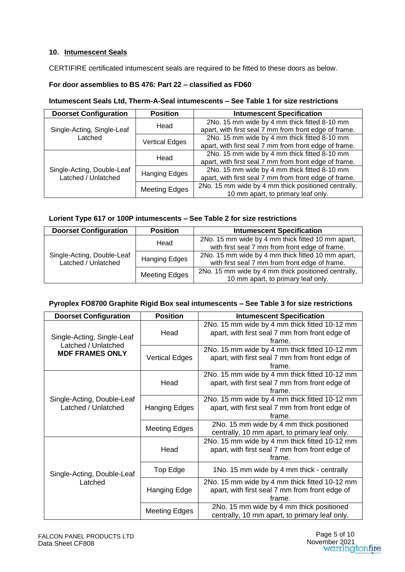#### **10. Intumescent Seals**

CERTIFIRE certificated intumescent seals are required to be fitted to these doors as below.

#### **For door assemblies to BS 476: Part 22 – classified as FD60**

#### **Intumescent Seals Ltd, Therm-A-Seal intumescents – See Table 1 for size restrictions**

| <b>Doorset Configuration</b>                      | <b>Position</b>       | <b>Intumescent Specification</b>                      |
|---------------------------------------------------|-----------------------|-------------------------------------------------------|
|                                                   | Head                  | 2No. 15 mm wide by 4 mm thick fitted 8-10 mm          |
| Single-Acting, Single-Leaf                        |                       | apart, with first seal 7 mm from front edge of frame. |
| Latched                                           | <b>Vertical Edges</b> | 2No. 15 mm wide by 4 mm thick fitted 8-10 mm          |
|                                                   |                       | apart, with first seal 7 mm from front edge of frame. |
|                                                   | Head                  | 2No. 15 mm wide by 4 mm thick fitted 8-10 mm          |
| Single-Acting, Double-Leaf<br>Latched / Unlatched |                       | apart, with first seal 7 mm from front edge of frame. |
|                                                   | <b>Hanging Edges</b>  | 2No. 15 mm wide by 4 mm thick fitted 8-10 mm          |
|                                                   |                       | apart, with first seal 7 mm from front edge of frame. |
|                                                   | <b>Meeting Edges</b>  | 2No. 15 mm wide by 4 mm thick positioned centrally,   |
|                                                   |                       | 10 mm apart, to primary leaf only.                    |

#### **Lorient Type 617 or 100P intumescents – See Table 2 for size restrictions**

| <b>Doorset Configuration</b>                      | <b>Position</b>      | <b>Intumescent Specification</b>                                                                    |
|---------------------------------------------------|----------------------|-----------------------------------------------------------------------------------------------------|
|                                                   | Head                 | 2No. 15 mm wide by 4 mm thick fitted 10 mm apart,<br>with first seal 7 mm from front edge of frame. |
| Single-Acting, Double-Leaf<br>Latched / Unlatched | <b>Hanging Edges</b> | 2No. 15 mm wide by 4 mm thick fitted 10 mm apart,<br>with first seal 7 mm from front edge of frame. |
|                                                   | <b>Meeting Edges</b> | 2No. 15 mm wide by 4 mm thick positioned centrally,<br>10 mm apart, to primary leaf only.           |

#### **Pyroplex FO8700 Graphite Rigid Box seal intumescents – See Table 3 for size restrictions**

| <b>Doorset Configuration</b>                                                | <b>Position</b>       | <b>Intumescent Specification</b>               |
|-----------------------------------------------------------------------------|-----------------------|------------------------------------------------|
| Single-Acting, Single-Leaf<br>Latched / Unlatched<br><b>MDF FRAMES ONLY</b> |                       | 2No. 15 mm wide by 4 mm thick fitted 10-12 mm  |
|                                                                             | Head                  | apart, with first seal 7 mm from front edge of |
|                                                                             |                       | frame.                                         |
|                                                                             |                       | 2No. 15 mm wide by 4 mm thick fitted 10-12 mm  |
|                                                                             | <b>Vertical Edges</b> | apart, with first seal 7 mm from front edge of |
|                                                                             |                       | frame.                                         |
| Single-Acting, Double-Leaf<br>Latched / Unlatched                           | Head                  | 2No. 15 mm wide by 4 mm thick fitted 10-12 mm  |
|                                                                             |                       | apart, with first seal 7 mm from front edge of |
|                                                                             |                       | frame.                                         |
|                                                                             |                       | 2No. 15 mm wide by 4 mm thick fitted 10-12 mm  |
|                                                                             | Hanging Edges         | apart, with first seal 7 mm from front edge of |
|                                                                             |                       | frame.                                         |
|                                                                             | <b>Meeting Edges</b>  | 2No. 15 mm wide by 4 mm thick positioned       |
|                                                                             |                       | centrally, 10 mm apart, to primary leaf only.  |
| Single-Acting, Double-Leaf<br>Latched                                       |                       | 2No. 15 mm wide by 4 mm thick fitted 10-12 mm  |
|                                                                             | Head                  | apart, with first seal 7 mm from front edge of |
|                                                                             |                       | frame.                                         |
|                                                                             | Top Edge              | 1No. 15 mm wide by 4 mm thick - centrally      |
|                                                                             |                       | 2No. 15 mm wide by 4 mm thick fitted 10-12 mm  |
|                                                                             | Hanging Edge          | apart, with first seal 7 mm from front edge of |
|                                                                             |                       | frame.                                         |
|                                                                             | <b>Meeting Edges</b>  | 2No. 15 mm wide by 4 mm thick positioned       |
|                                                                             |                       | centrally, 10 mm apart, to primary leaf only.  |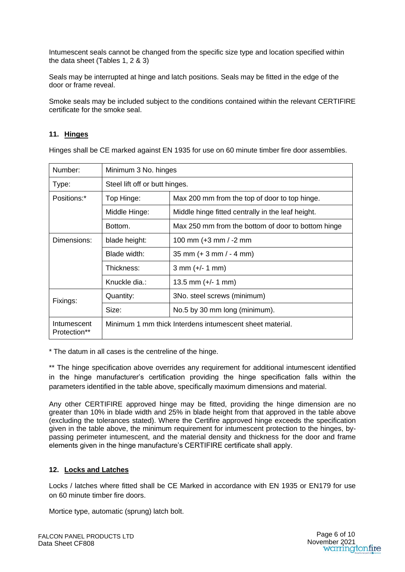Intumescent seals cannot be changed from the specific size type and location specified within the data sheet (Tables 1, 2 & 3)

Seals may be interrupted at hinge and latch positions. Seals may be fitted in the edge of the door or frame reveal.

Smoke seals may be included subject to the conditions contained within the relevant CERTIFIRE certificate for the smoke seal.

#### **11. Hinges**

Hinges shall be CE marked against EN 1935 for use on 60 minute timber fire door assemblies.

| Number:                     | Minimum 3 No. hinges                                     |                                                    |  |
|-----------------------------|----------------------------------------------------------|----------------------------------------------------|--|
| Type:                       | Steel lift off or butt hinges.                           |                                                    |  |
| Positions:*                 | Top Hinge:                                               | Max 200 mm from the top of door to top hinge.      |  |
|                             | Middle Hinge:                                            | Middle hinge fitted centrally in the leaf height.  |  |
|                             | Bottom.                                                  | Max 250 mm from the bottom of door to bottom hinge |  |
| Dimensions:                 | blade height:                                            | 100 mm (+3 mm / -2 mm                              |  |
|                             | Blade width:                                             | $35$ mm (+ 3 mm / - 4 mm)                          |  |
|                             | Thickness:                                               | $3 \, \text{mm}$ (+/- 1 mm)                        |  |
|                             | Knuckle dia:                                             | 13.5 mm $(+/- 1$ mm)                               |  |
| Fixings:                    | Quantity:                                                | 3No. steel screws (minimum)                        |  |
|                             | Size:                                                    | No.5 by 30 mm long (minimum).                      |  |
| Intumescent<br>Protection** | Minimum 1 mm thick Interdens intumescent sheet material. |                                                    |  |

\* The datum in all cases is the centreline of the hinge.

\*\* The hinge specification above overrides any requirement for additional intumescent identified in the hinge manufacturer's certification providing the hinge specification falls within the parameters identified in the table above, specifically maximum dimensions and material.

Any other CERTIFIRE approved hinge may be fitted, providing the hinge dimension are no greater than 10% in blade width and 25% in blade height from that approved in the table above (excluding the tolerances stated). Where the Certifire approved hinge exceeds the specification given in the table above, the minimum requirement for intumescent protection to the hinges, bypassing perimeter intumescent, and the material density and thickness for the door and frame elements given in the hinge manufacture's CERTIFIRE certificate shall apply.

#### **12. Locks and Latches**

Locks / latches where fitted shall be CE Marked in accordance with EN 1935 or EN179 for use on 60 minute timber fire doors.

Mortice type, automatic (sprung) latch bolt.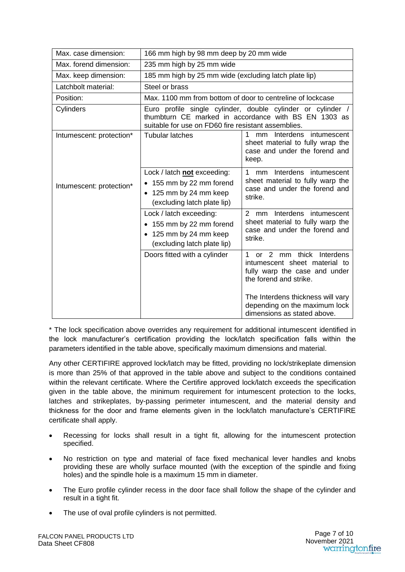| Max. case dimension:     | 166 mm high by 98 mm deep by 20 mm wide                                                                                                                                    |                                                                                                                             |  |  |
|--------------------------|----------------------------------------------------------------------------------------------------------------------------------------------------------------------------|-----------------------------------------------------------------------------------------------------------------------------|--|--|
| Max, forend dimension:   | 235 mm high by 25 mm wide                                                                                                                                                  |                                                                                                                             |  |  |
| Max. keep dimension:     | 185 mm high by 25 mm wide (excluding latch plate lip)                                                                                                                      |                                                                                                                             |  |  |
| Latchbolt material:      | Steel or brass                                                                                                                                                             |                                                                                                                             |  |  |
| Position:                | Max, 1100 mm from bottom of door to centreline of lockcase                                                                                                                 |                                                                                                                             |  |  |
| Cylinders                | Euro profile single cylinder, double cylinder or cylinder /<br>thumbturn CE marked in accordance with BS EN 1303 as<br>suitable for use on FD60 fire resistant assemblies. |                                                                                                                             |  |  |
| Intumescent: protection* | <b>Tubular latches</b>                                                                                                                                                     | Interdens intumescent<br>1<br>mm<br>sheet material to fully wrap the<br>case and under the forend and<br>keep.              |  |  |
| Intumescent: protection* | Lock / latch not exceeding:<br>• 155 mm by 22 mm forend<br>• 125 mm by 24 mm keep<br>(excluding latch plate lip)                                                           | mm Interdens intumescent<br>1<br>sheet material to fully warp the<br>case and under the forend and<br>strike.               |  |  |
|                          | Lock / latch exceeding:<br>155 mm by 22 mm forend<br>• 125 mm by 24 mm keep<br>(excluding latch plate lip)                                                                 | 2<br>Interdens intumescent<br>mm<br>sheet material to fully warp the<br>case and under the forend and<br>strike.            |  |  |
|                          | Doors fitted with a cylinder                                                                                                                                               | or 2 mm thick<br>Interdens<br>1<br>intumescent sheet material to<br>fully warp the case and under<br>the forend and strike. |  |  |
|                          |                                                                                                                                                                            | The Interdens thickness will vary<br>depending on the maximum lock<br>dimensions as stated above.                           |  |  |

\* The lock specification above overrides any requirement for additional intumescent identified in the lock manufacturer's certification providing the lock/latch specification falls within the parameters identified in the table above, specifically maximum dimensions and material.

Any other CERTIFIRE approved lock/latch may be fitted, providing no lock/strikeplate dimension is more than 25% of that approved in the table above and subject to the conditions contained within the relevant certificate. Where the Certifire approved lock/latch exceeds the specification given in the table above, the minimum requirement for intumescent protection to the locks, latches and strikeplates, by-passing perimeter intumescent, and the material density and thickness for the door and frame elements given in the lock/latch manufacture's CERTIFIRE certificate shall apply.

- Recessing for locks shall result in a tight fit, allowing for the intumescent protection specified.
- No restriction on type and material of face fixed mechanical lever handles and knobs providing these are wholly surface mounted (with the exception of the spindle and fixing holes) and the spindle hole is a maximum 15 mm in diameter.
- The Euro profile cylinder recess in the door face shall follow the shape of the cylinder and result in a tight fit.
- The use of oval profile cylinders is not permitted.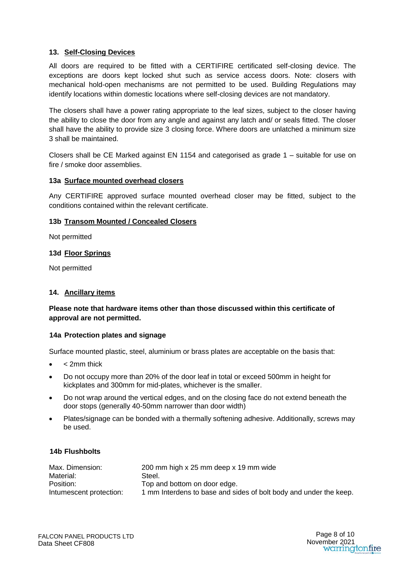#### **13. Self-Closing Devices**

All doors are required to be fitted with a CERTIFIRE certificated self-closing device. The exceptions are doors kept locked shut such as service access doors. Note: closers with mechanical hold-open mechanisms are not permitted to be used. Building Regulations may identify locations within domestic locations where self-closing devices are not mandatory.

The closers shall have a power rating appropriate to the leaf sizes, subject to the closer having the ability to close the door from any angle and against any latch and/ or seals fitted. The closer shall have the ability to provide size 3 closing force. Where doors are unlatched a minimum size 3 shall be maintained.

Closers shall be CE Marked against EN 1154 and categorised as grade 1 – suitable for use on fire / smoke door assemblies.

#### **13a Surface mounted overhead closers**

Any CERTIFIRE approved surface mounted overhead closer may be fitted, subject to the conditions contained within the relevant certificate.

#### **13b Transom Mounted / Concealed Closers**

Not permitted

#### **13d Floor Springs**

Not permitted

#### **14. Ancillary items**

**Please note that hardware items other than those discussed within this certificate of approval are not permitted.** 

#### **14a Protection plates and signage**

Surface mounted plastic, steel, aluminium or brass plates are acceptable on the basis that:

- < 2mm thick
- Do not occupy more than 20% of the door leaf in total or exceed 500mm in height for kickplates and 300mm for mid-plates, whichever is the smaller.
- Do not wrap around the vertical edges, and on the closing face do not extend beneath the door stops (generally 40-50mm narrower than door width)
- Plates/signage can be bonded with a thermally softening adhesive. Additionally, screws may be used.

#### **14b Flushbolts**

| Max. Dimension:         | 200 mm high x 25 mm deep x 19 mm wide                             |
|-------------------------|-------------------------------------------------------------------|
| Material:               | Steel.                                                            |
| Position:               | Top and bottom on door edge.                                      |
| Intumescent protection: | 1 mm Interdens to base and sides of bolt body and under the keep. |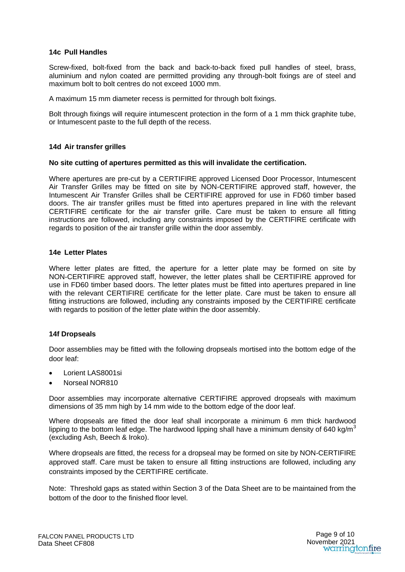#### **14c Pull Handles**

Screw-fixed, bolt-fixed from the back and back-to-back fixed pull handles of steel, brass, aluminium and nylon coated are permitted providing any through-bolt fixings are of steel and maximum bolt to bolt centres do not exceed 1000 mm.

A maximum 15 mm diameter recess is permitted for through bolt fixings.

Bolt through fixings will require intumescent protection in the form of a 1 mm thick graphite tube, or Intumescent paste to the full depth of the recess.

#### **14d Air transfer grilles**

#### **No site cutting of apertures permitted as this will invalidate the certification.**

Where apertures are pre-cut by a CERTIFIRE approved Licensed Door Processor, Intumescent Air Transfer Grilles may be fitted on site by NON-CERTIFIRE approved staff, however, the Intumescent Air Transfer Grilles shall be CERTIFIRE approved for use in FD60 timber based doors. The air transfer grilles must be fitted into apertures prepared in line with the relevant CERTIFIRE certificate for the air transfer grille. Care must be taken to ensure all fitting instructions are followed, including any constraints imposed by the CERTIFIRE certificate with regards to position of the air transfer grille within the door assembly.

#### **14e Letter Plates**

Where letter plates are fitted, the aperture for a letter plate may be formed on site by NON-CERTIFIRE approved staff, however, the letter plates shall be CERTIFIRE approved for use in FD60 timber based doors. The letter plates must be fitted into apertures prepared in line with the relevant CERTIFIRE certificate for the letter plate. Care must be taken to ensure all fitting instructions are followed, including any constraints imposed by the CERTIFIRE certificate with regards to position of the letter plate within the door assembly.

#### **14f Dropseals**

Door assemblies may be fitted with the following dropseals mortised into the bottom edge of the door leaf:

- Lorient LAS8001si
- Norseal NOR810

Door assemblies may incorporate alternative CERTIFIRE approved dropseals with maximum dimensions of 35 mm high by 14 mm wide to the bottom edge of the door leaf.

Where dropseals are fitted the door leaf shall incorporate a minimum 6 mm thick hardwood lipping to the bottom leaf edge. The hardwood lipping shall have a minimum density of 640 kg/m<sup>3</sup> (excluding Ash, Beech & Iroko).

Where dropseals are fitted, the recess for a dropseal may be formed on site by NON-CERTIFIRE approved staff. Care must be taken to ensure all fitting instructions are followed, including any constraints imposed by the CERTIFIRE certificate.

Note: Threshold gaps as stated within Section 3 of the Data Sheet are to be maintained from the bottom of the door to the finished floor level.